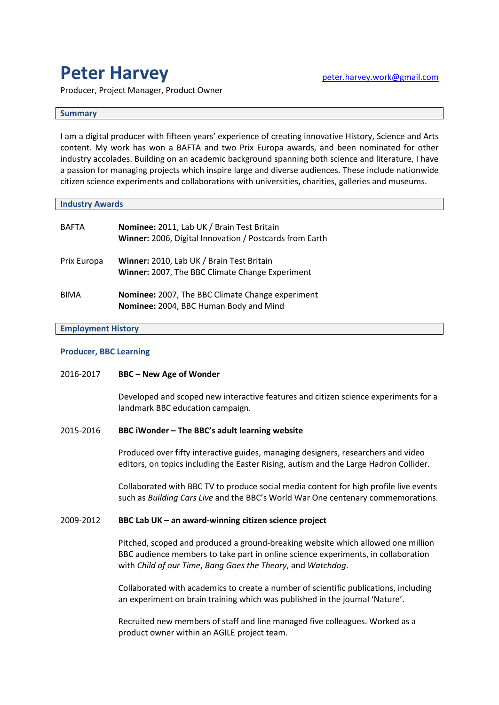# **Peter Harvey**

Producer, Project Manager, Product Owner

## **Summary**

I am a digital producer with fifteen years' experience of creating innovative History, Science and Arts content. My work has won a BAFTA and two Prix Europa awards, and been nominated for other industry accolades. Building on an academic background spanning both science and literature, I have a passion for managing projects which inspire large and diverse audiences. These include nationwide citizen science experiments and collaborations with universities, charities, galleries and museums.

## **Industry Awards**

| <b>BAFTA</b> | Nominee: 2011, Lab UK / Brain Test Britain<br>Winner: 2006, Digital Innovation / Postcards from Earth |
|--------------|-------------------------------------------------------------------------------------------------------|
| Prix Europa  | Winner: 2010, Lab UK / Brain Test Britain<br>Winner: 2007, The BBC Climate Change Experiment          |
| <b>BIMA</b>  | Nominee: 2007, The BBC Climate Change experiment<br>Nominee: 2004, BBC Human Body and Mind            |

## **Employment History**

## **Producer, BBC Learning**

# 2016-2017 **BBC – New Age of Wonder**

Developed and scoped new interactive features and citizen science experiments for a landmark BBC education campaign.

# 2015-2016 **BBC iWonder – The BBC's adult learning website**

Produced over fifty interactive guides, managing designers, researchers and video editors, on topics including the Easter Rising, autism and the Large Hadron Collider.

Collaborated with BBC TV to produce social media content for high profile live events such as *Building Cars Live* and the BBC's World War One centenary commemorations.

# 2009-2012 **BBC Lab UK – an award-winning citizen science project**

Pitched, scoped and produced a ground-breaking website which allowed one million BBC audience members to take part in online science experiments, in collaboration with *Child of our Time*, *Bang Goes the Theory*, and *Watchdog*.

Collaborated with academics to create a number of scientific publications, including an experiment on brain training which was published in the journal 'Nature'.

Recruited new members of staff and line managed five colleagues. Worked as a product owner within an AGILE project team.